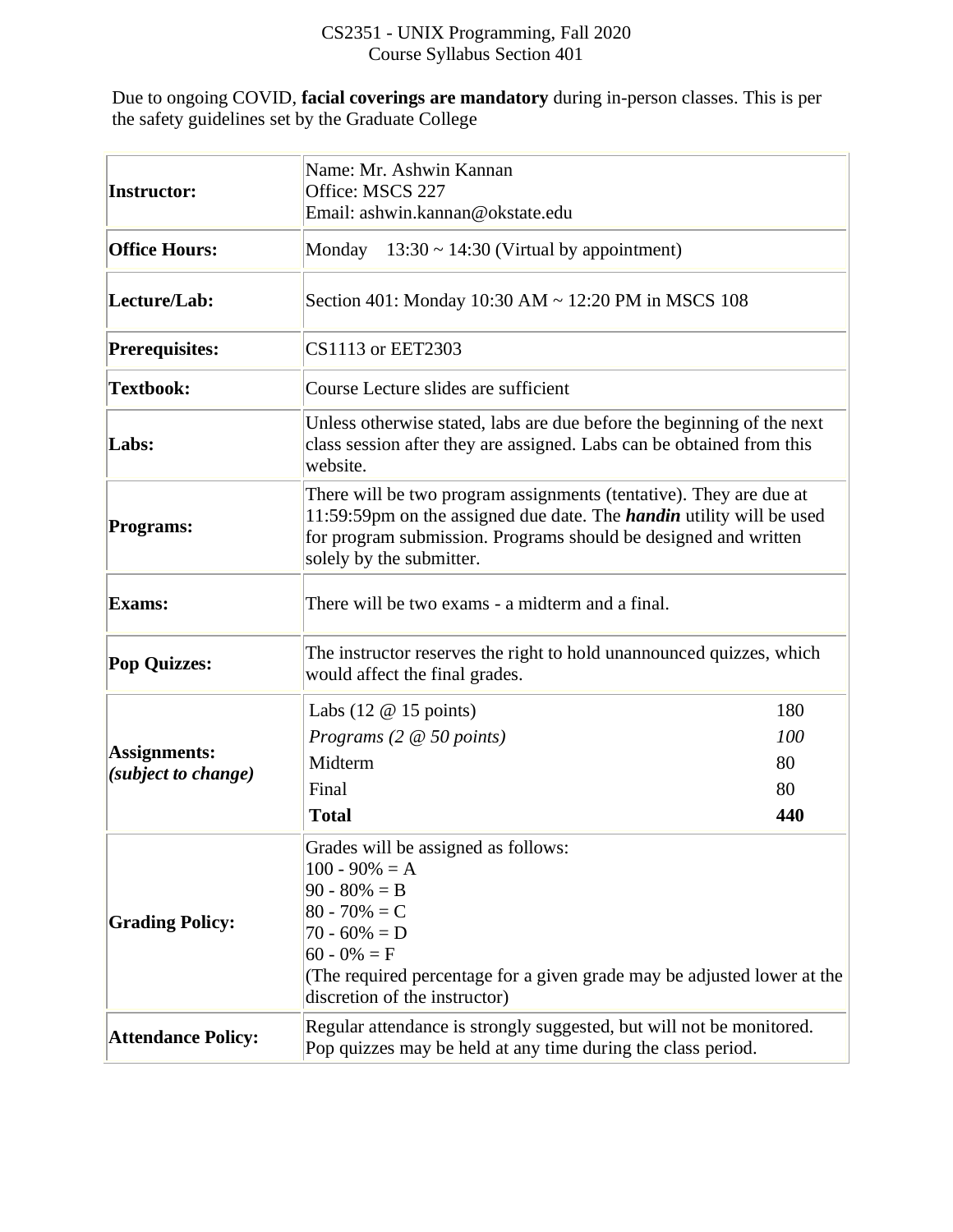## CS2351 - UNIX Programming, Fall 2020 Course Syllabus Section 401

Due to ongoing COVID, **facial coverings are mandatory** during in-person classes. This is per the safety guidelines set by the Graduate College

| Instructor:                         | Name: Mr. Ashwin Kannan<br>Office: MSCS 227<br>Email: ashwin.kannan@okstate.edu                                                                                                                                                                  |                               |  |  |
|-------------------------------------|--------------------------------------------------------------------------------------------------------------------------------------------------------------------------------------------------------------------------------------------------|-------------------------------|--|--|
| <b>Office Hours:</b>                | Monday<br>$13:30 \sim 14:30$ (Virtual by appointment)                                                                                                                                                                                            |                               |  |  |
| Lecture/Lab:                        | Section 401: Monday 10:30 AM ~ 12:20 PM in MSCS 108                                                                                                                                                                                              |                               |  |  |
| <b>Prerequisites:</b>               | CS1113 or EET2303                                                                                                                                                                                                                                |                               |  |  |
| <b>Textbook:</b>                    | Course Lecture slides are sufficient                                                                                                                                                                                                             |                               |  |  |
| Labs:                               | Unless otherwise stated, labs are due before the beginning of the next<br>class session after they are assigned. Labs can be obtained from this<br>website.                                                                                      |                               |  |  |
| <b>Programs:</b>                    | There will be two program assignments (tentative). They are due at<br>11:59:59pm on the assigned due date. The <i>handin</i> utility will be used<br>for program submission. Programs should be designed and written<br>solely by the submitter. |                               |  |  |
| <b>Exams:</b>                       | There will be two exams - a midterm and a final.                                                                                                                                                                                                 |                               |  |  |
| <b>Pop Quizzes:</b>                 | The instructor reserves the right to hold unannounced quizzes, which<br>would affect the final grades.                                                                                                                                           |                               |  |  |
| Assignments:<br>(subject to change) | Labs $(12 \t@ 15 \tpoints)$<br>Programs (2 @ 50 points)<br>Midterm<br>Final<br><b>Total</b>                                                                                                                                                      | 180<br>100<br>80<br>80<br>440 |  |  |
| <b>Grading Policy:</b>              | Grades will be assigned as follows:<br>$100 - 90\% = A$<br>$90 - 80\% = B$<br>$ 80 - 70\%  = C$<br>$70 - 60\% = D$<br>$60 - 0\% = F$<br>(The required percentage for a given grade may be adjusted lower at the<br>discretion of the instructor) |                               |  |  |
| <b>Attendance Policy:</b>           | Regular attendance is strongly suggested, but will not be monitored.<br>Pop quizzes may be held at any time during the class period.                                                                                                             |                               |  |  |